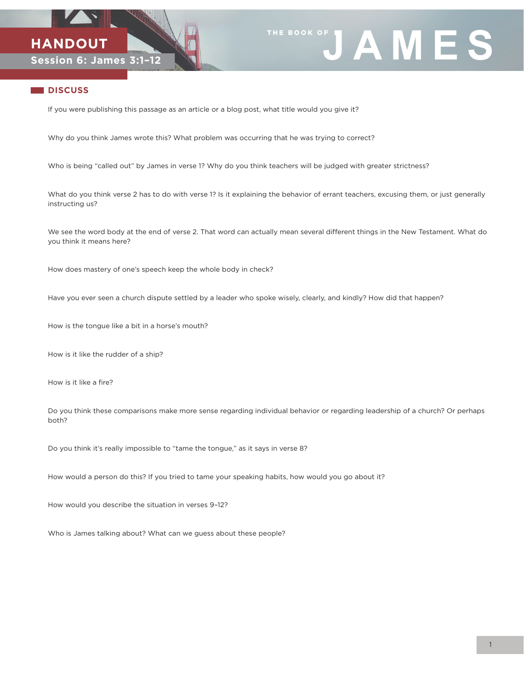



## **DISCUSS**

If you were publishing this passage as an article or a blog post, what title would you give it?

Why do you think James wrote this? What problem was occurring that he was trying to correct?

Who is being "called out" by James in verse 1? Why do you think teachers will be judged with greater strictness?

What do you think verse 2 has to do with verse 1? Is it explaining the behavior of errant teachers, excusing them, or just generally instructing us?

We see the word body at the end of verse 2. That word can actually mean several different things in the New Testament. What do you think it means here?

How does mastery of one's speech keep the whole body in check?

Have you ever seen a church dispute settled by a leader who spoke wisely, clearly, and kindly? How did that happen?

How is the tongue like a bit in a horse's mouth?

How is it like the rudder of a ship?

How is it like a fire?

Do you think these comparisons make more sense regarding individual behavior or regarding leadership of a church? Or perhaps both?

Do you think it's really impossible to "tame the tongue," as it says in verse 8?

How would a person do this? If you tried to tame your speaking habits, how would you go about it?

How would you describe the situation in verses 9–12?

Who is James talking about? What can we guess about these people?